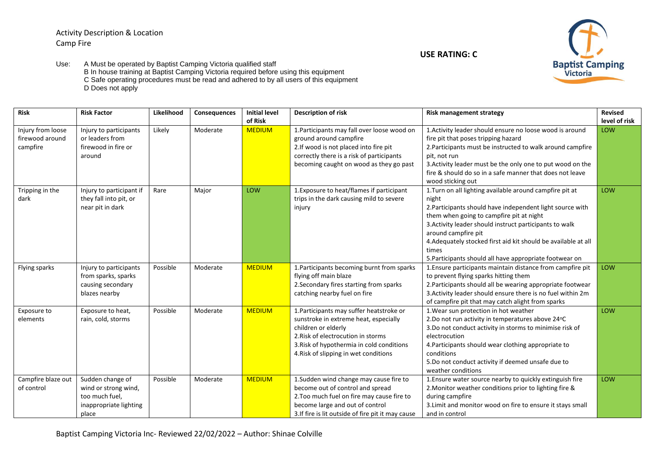Activity Description & Location Camp Fire

**USE RATING: C**



Use: A Must be operated by Baptist Camping Victoria qualified staff B In house training at Baptist Camping Victoria required before using this equipment C Safe operating procedures must be read and adhered to by all users of this equipment D Does not apply

| <b>Risk</b>                                      | <b>Risk Factor</b>                                                                            | Likelihood | Consequences | <b>Initial level</b><br>of Risk | <b>Description of risk</b>                                                                                                                                                                                                           | <b>Risk management strategy</b>                                                                                                                                                                                                                                                                                                                                                                    | <b>Revised</b><br>level of risk |
|--------------------------------------------------|-----------------------------------------------------------------------------------------------|------------|--------------|---------------------------------|--------------------------------------------------------------------------------------------------------------------------------------------------------------------------------------------------------------------------------------|----------------------------------------------------------------------------------------------------------------------------------------------------------------------------------------------------------------------------------------------------------------------------------------------------------------------------------------------------------------------------------------------------|---------------------------------|
| Injury from loose<br>firewood around<br>campfire | Injury to participants<br>or leaders from<br>firewood in fire or<br>around                    | Likely     | Moderate     | <b>MEDIUM</b>                   | 1. Participants may fall over loose wood on<br>ground around campfire<br>2.If wood is not placed into fire pit<br>correctly there is a risk of participants<br>becoming caught on wood as they go past                               | 1. Activity leader should ensure no loose wood is around<br>fire pit that poses tripping hazard<br>2. Participants must be instructed to walk around campfire<br>pit, not run<br>3. Activity leader must be the only one to put wood on the<br>fire & should do so in a safe manner that does not leave<br>wood sticking out                                                                       | LOW                             |
| Tripping in the<br>dark                          | Injury to participant if<br>they fall into pit, or<br>near pit in dark                        | Rare       | Major        | LOW                             | 1. Exposure to heat/flames if participant<br>trips in the dark causing mild to severe<br>injury                                                                                                                                      | 1. Turn on all lighting available around campfire pit at<br>night<br>2. Participants should have independent light source with<br>them when going to campfire pit at night<br>3. Activity leader should instruct participants to walk<br>around campfire pit<br>4. Adequately stocked first aid kit should be available at all<br>times<br>5. Participants should all have appropriate footwear on | LOW                             |
| Flying sparks                                    | Injury to participants<br>from sparks, sparks<br>causing secondary<br>blazes nearby           | Possible   | Moderate     | <b>MEDIUM</b>                   | 1. Participants becoming burnt from sparks<br>flying off main blaze<br>2. Secondary fires starting from sparks<br>catching nearby fuel on fire                                                                                       | 1. Ensure participants maintain distance from campfire pit<br>to prevent flying sparks hitting them<br>2. Participants should all be wearing appropriate footwear<br>3. Activity leader should ensure there is no fuel within 2m<br>of campfire pit that may catch alight from sparks                                                                                                              | LOW                             |
| Exposure to<br>elements                          | Exposure to heat,<br>rain, cold, storms                                                       | Possible   | Moderate     | <b>MEDIUM</b>                   | 1. Participants may suffer heatstroke or<br>sunstroke in extreme heat, especially<br>children or elderly<br>2. Risk of electrocution in storms<br>3. Risk of hypothermia in cold conditions<br>4. Risk of slipping in wet conditions | 1. Wear sun protection in hot weather<br>2.Do not run activity in temperatures above 24°C<br>3.Do not conduct activity in storms to minimise risk of<br>electrocution<br>4. Participants should wear clothing appropriate to<br>conditions<br>5.Do not conduct activity if deemed unsafe due to<br>weather conditions                                                                              | LOW                             |
| Campfire blaze out<br>of control                 | Sudden change of<br>wind or strong wind,<br>too much fuel,<br>inappropriate lighting<br>place | Possible   | Moderate     | <b>MEDIUM</b>                   | 1. Sudden wind change may cause fire to<br>become out of control and spread<br>2. Too much fuel on fire may cause fire to<br>become large and out of control<br>3. If fire is lit outside of fire pit it may cause                   | 1. Ensure water source nearby to quickly extinguish fire<br>2. Monitor weather conditions prior to lighting fire &<br>during campfire<br>3. Limit and monitor wood on fire to ensure it stays small<br>and in control                                                                                                                                                                              | LOW                             |